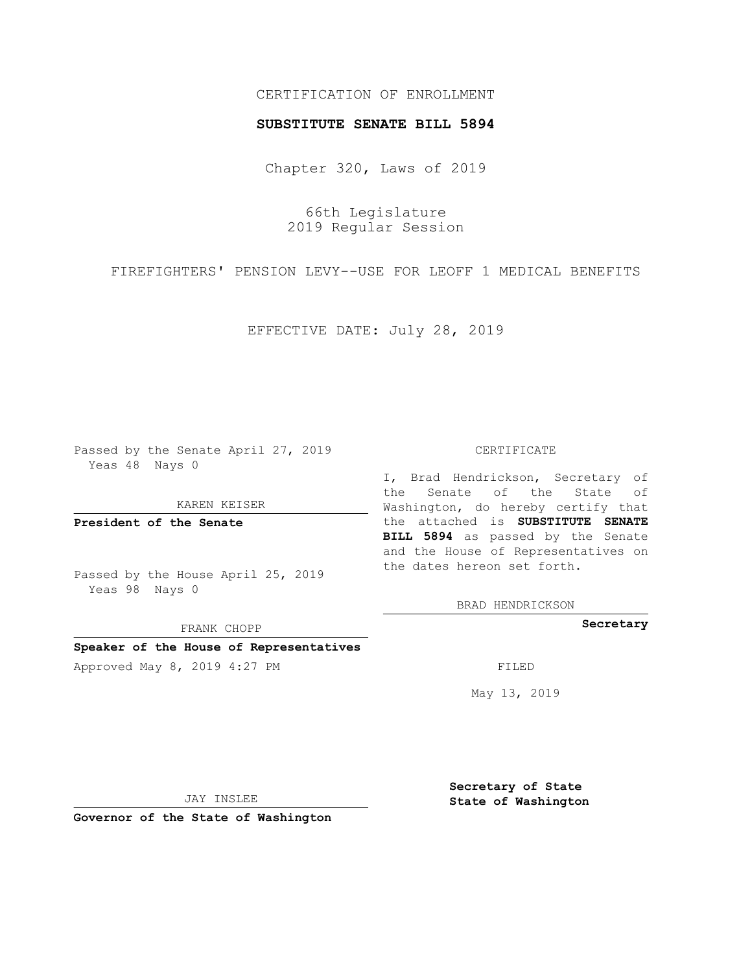## CERTIFICATION OF ENROLLMENT

### **SUBSTITUTE SENATE BILL 5894**

Chapter 320, Laws of 2019

66th Legislature 2019 Regular Session

FIREFIGHTERS' PENSION LEVY--USE FOR LEOFF 1 MEDICAL BENEFITS

EFFECTIVE DATE: July 28, 2019

Passed by the Senate April 27, 2019 Yeas 48 Nays 0

KAREN KEISER

**President of the Senate**

Passed by the House April 25, 2019 Yeas 98 Nays 0

FRANK CHOPP

**Speaker of the House of Representatives**

Approved May 8, 2019 4:27 PM

#### CERTIFICATE

I, Brad Hendrickson, Secretary of the Senate of the State of Washington, do hereby certify that the attached is **SUBSTITUTE SENATE BILL 5894** as passed by the Senate and the House of Representatives on the dates hereon set forth.

BRAD HENDRICKSON

**Secretary**

May 13, 2019

JAY INSLEE

**Governor of the State of Washington**

**Secretary of State State of Washington**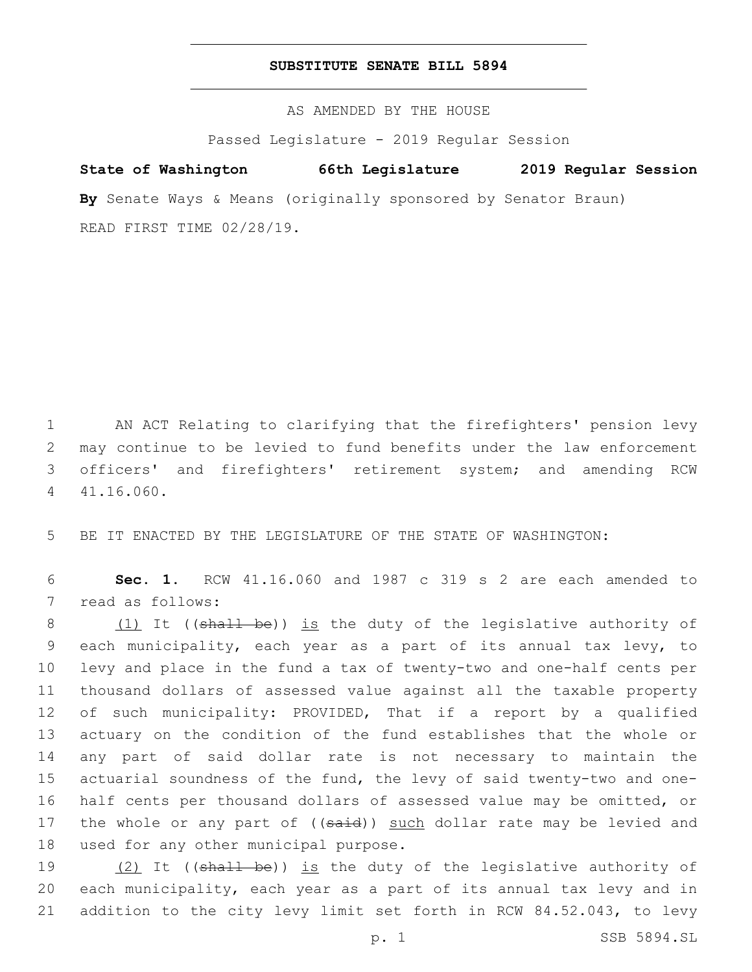## **SUBSTITUTE SENATE BILL 5894**

AS AMENDED BY THE HOUSE

Passed Legislature - 2019 Regular Session

# **State of Washington 66th Legislature 2019 Regular Session**

**By** Senate Ways & Means (originally sponsored by Senator Braun) READ FIRST TIME 02/28/19.

 AN ACT Relating to clarifying that the firefighters' pension levy may continue to be levied to fund benefits under the law enforcement officers' and firefighters' retirement system; and amending RCW 41.16.060.4

5 BE IT ENACTED BY THE LEGISLATURE OF THE STATE OF WASHINGTON:

6 **Sec. 1.** RCW 41.16.060 and 1987 c 319 s 2 are each amended to 7 read as follows:

8 (1) It ((shall be)) is the duty of the legislative authority of each municipality, each year as a part of its annual tax levy, to levy and place in the fund a tax of twenty-two and one-half cents per thousand dollars of assessed value against all the taxable property of such municipality: PROVIDED, That if a report by a qualified actuary on the condition of the fund establishes that the whole or any part of said dollar rate is not necessary to maintain the actuarial soundness of the fund, the levy of said twenty-two and one- half cents per thousand dollars of assessed value may be omitted, or 17 the whole or any part of ((said)) such dollar rate may be levied and 18 used for any other municipal purpose.

19 (2) It ((shall be)) is the duty of the legislative authority of 20 each municipality, each year as a part of its annual tax levy and in 21 addition to the city levy limit set forth in RCW 84.52.043, to levy